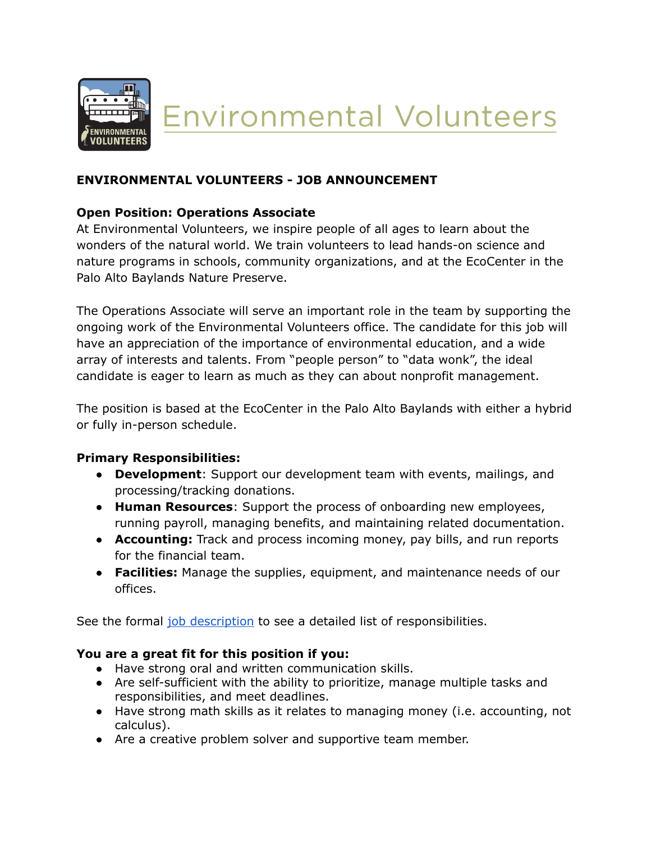

**Environmental Volunteers** 

# **ENVIRONMENTAL VOLUNTEERS - JOB ANNOUNCEMENT**

## **Open Position: Operations Associate**

At Environmental Volunteers, we inspire people of all ages to learn about the wonders of the natural world. We train volunteers to lead hands-on science and nature programs in schools, community organizations, and at the EcoCenter in the Palo Alto Baylands Nature Preserve.

The Operations Associate will serve an important role in the team by supporting the ongoing work of the Environmental Volunteers office. The candidate for this job will have an appreciation of the importance of environmental education, and a wide array of interests and talents. From "people person" to "data wonk", the ideal candidate is eager to learn as much as they can about nonprofit management.

The position is based at the EcoCenter in the Palo Alto Baylands with either a hybrid or fully in-person schedule.

### **Primary Responsibilities:**

- **Development**: Support our development team with events, mailings, and processing/tracking donations.
- **Human Resources**: Support the process of onboarding new employees, running payroll, managing benefits, and maintaining related documentation.
- **● Accounting:** Track and process incoming money, pay bills, and run reports for the financial team.
- **● Facilities:** Manage the supplies, equipment, and maintenance needs of our offices.

See the formal job [description](https://docs.google.com/document/d/1xEQlWBKbuLZ2Y-pvAka7hpVLOCy1MXylLV_0c7lztts/edit?usp=view) to see a detailed list of responsibilities.

### **You are a great fit for this position if you:**

- Have strong oral and written communication skills.
- Are self-sufficient with the ability to prioritize, manage multiple tasks and responsibilities, and meet deadlines.
- Have strong math skills as it relates to managing money (i.e. accounting, not calculus).
- Are a creative problem solver and supportive team member.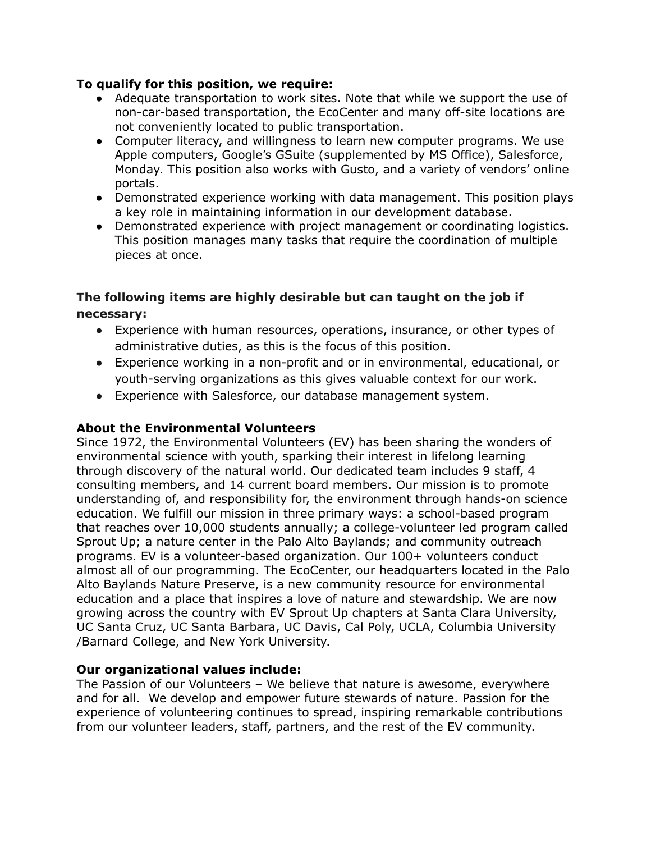#### **To qualify for this position, we require:**

- Adequate transportation to work sites. Note that while we support the use of non-car-based transportation, the EcoCenter and many off-site locations are not conveniently located to public transportation.
- Computer literacy, and willingness to learn new computer programs. We use Apple computers, Google's GSuite (supplemented by MS Office), Salesforce, Monday. This position also works with Gusto, and a variety of vendors' online portals.
- Demonstrated experience working with data management. This position plays a key role in maintaining information in our development database.
- Demonstrated experience with project management or coordinating logistics. This position manages many tasks that require the coordination of multiple pieces at once.

## **The following items are highly desirable but can taught on the job if necessary:**

- Experience with human resources, operations, insurance, or other types of administrative duties, as this is the focus of this position.
- Experience working in a non-profit and or in environmental, educational, or youth-serving organizations as this gives valuable context for our work.
- Experience with Salesforce, our database management system.

### **About the Environmental Volunteers**

Since 1972, the Environmental Volunteers (EV) has been sharing the wonders of environmental science with youth, sparking their interest in lifelong learning through discovery of the natural world. Our dedicated team includes 9 staff, 4 consulting members, and 14 current board members. Our mission is to promote understanding of, and responsibility for, the environment through hands-on science education. We fulfill our mission in three primary ways: a school-based program that reaches over 10,000 students annually; a college-volunteer led program called Sprout Up; a nature center in the Palo Alto Baylands; and community outreach programs. EV is a volunteer-based organization. Our 100+ volunteers conduct almost all of our programming. The EcoCenter, our headquarters located in the Palo Alto Baylands Nature Preserve, is a new community resource for environmental education and a place that inspires a love of nature and stewardship. We are now growing across the country with EV Sprout Up chapters at Santa Clara University, UC Santa Cruz, UC Santa Barbara, UC Davis, Cal Poly, UCLA, Columbia University /Barnard College, and New York University.

#### **Our organizational values include:**

The Passion of our Volunteers – We believe that nature is awesome, everywhere and for all. We develop and empower future stewards of nature. Passion for the experience of volunteering continues to spread, inspiring remarkable contributions from our volunteer leaders, staff, partners, and the rest of the EV community.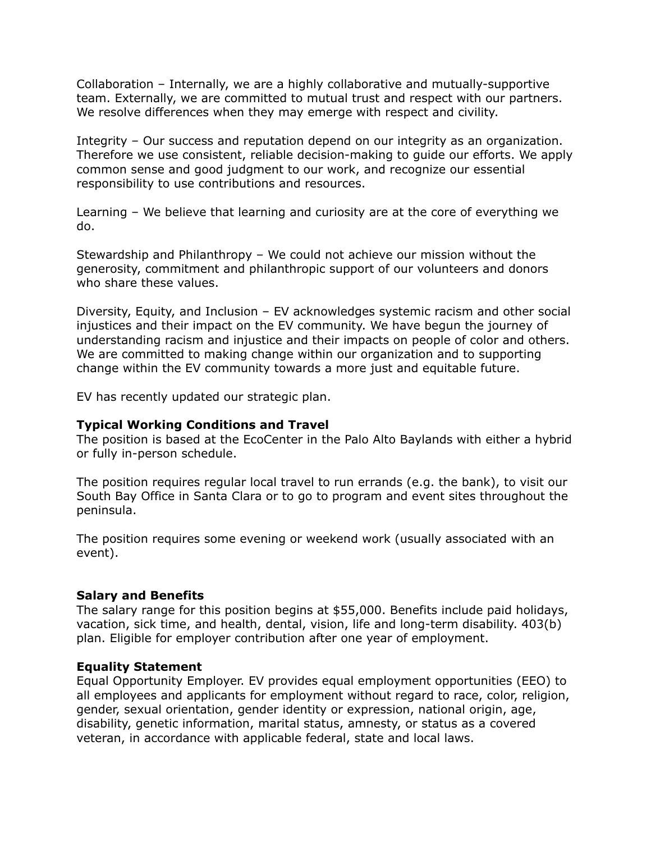Collaboration – Internally, we are a highly collaborative and mutually-supportive team. Externally, we are committed to mutual trust and respect with our partners. We resolve differences when they may emerge with respect and civility.

Integrity – Our success and reputation depend on our integrity as an organization. Therefore we use consistent, reliable decision-making to guide our efforts. We apply common sense and good judgment to our work, and recognize our essential responsibility to use contributions and resources.

Learning – We believe that learning and curiosity are at the core of everything we do.

Stewardship and Philanthropy – We could not achieve our mission without the generosity, commitment and philanthropic support of our volunteers and donors who share these values.

Diversity, Equity, and Inclusion – EV acknowledges systemic racism and other social injustices and their impact on the EV community. We have begun the journey of understanding racism and injustice and their impacts on people of color and others. We are committed to making change within our organization and to supporting change within the EV community towards a more just and equitable future.

EV has recently updated our strategic plan.

#### **Typical Working Conditions and Travel**

The position is based at the EcoCenter in the Palo Alto Baylands with either a hybrid or fully in-person schedule.

The position requires regular local travel to run errands (e.g. the bank), to visit our South Bay Office in Santa Clara or to go to program and event sites throughout the peninsula.

The position requires some evening or weekend work (usually associated with an event).

#### **Salary and Benefits**

The salary range for this position begins at \$55,000. Benefits include paid holidays, vacation, sick time, and health, dental, vision, life and long-term disability. 403(b) plan. Eligible for employer contribution after one year of employment.

#### **Equality Statement**

Equal Opportunity Employer. EV provides equal employment opportunities (EEO) to all employees and applicants for employment without regard to race, color, religion, gender, sexual orientation, gender identity or expression, national origin, age, disability, genetic information, marital status, amnesty, or status as a covered veteran, in accordance with applicable federal, state and local laws.